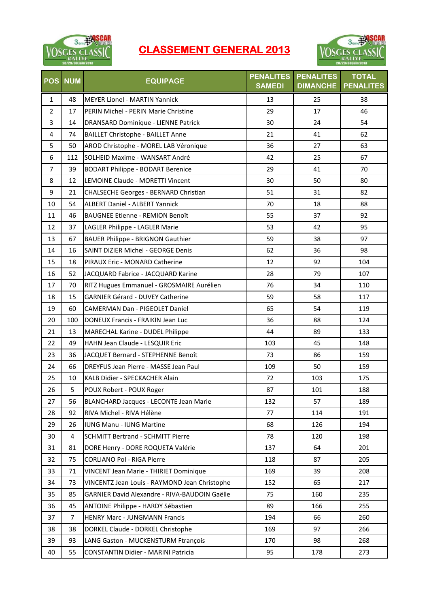

## **CLASSEMENT GENERAL 2013**



| <b>POS</b>     | <b>NUM</b>     | <b>EQUIPAGE</b>                               | <b>PENALITES</b><br><b>SAMEDI</b> | <b>PENALITES</b><br><b>DIMANCHE</b> | <b>TOTAL</b><br><b>PENALITES</b> |
|----------------|----------------|-----------------------------------------------|-----------------------------------|-------------------------------------|----------------------------------|
| $\mathbf{1}$   | 48             | <b>MEYER Lionel - MARTIN Yannick</b>          | 13                                | 25                                  | 38                               |
| $\overline{2}$ | 17             | PERIN Michel - PERIN Marie Christine          | 29                                | 17                                  | 46                               |
| 3              | 14             | DRANSARD Dominique - LIENNE Patrick           | 30                                | 24                                  | 54                               |
| 4              | 74             | <b>BAILLET Christophe - BAILLET Anne</b>      | 21                                | 41                                  | 62                               |
| 5              | 50             | AROD Christophe - MOREL LAB Véronique         | 36                                | 27                                  | 63                               |
| 6              | 112            | SOLHEID Maxime - WANSART André                | 42                                | 25                                  | 67                               |
| $\overline{7}$ | 39             | <b>BODART Philippe - BODART Berenice</b>      | 29                                | 41                                  | 70                               |
| 8              | 12             | LEMOINE Claude - MORETTI Vincent              | 30                                | 50                                  | 80                               |
| 9              | 21             | CHALSECHE Georges - BERNARD Christian         | 51                                | 31                                  | 82                               |
| 10             | 54             | <b>ALBERT Daniel - ALBERT Yannick</b>         | 70                                | 18                                  | 88                               |
| 11             | 46             | <b>BAUGNEE Etienne - REMION Benoît</b>        | 55                                | 37                                  | 92                               |
| 12             | 37             | LAGLER Philippe - LAGLER Marie                | 53                                | 42                                  | 95                               |
| 13             | 67             | <b>BAUER Philippe - BRIGNON Gauthier</b>      | 59                                | 38                                  | 97                               |
| 14             | 16             | SAINT DIZIER Michel - GEORGE Denis            | 62                                | 36                                  | 98                               |
| 15             | 18             | PIRAUX Eric - MONARD Catherine                | 12                                | 92                                  | 104                              |
| 16             | 52             | JACQUARD Fabrice - JACQUARD Karine            | 28                                | 79                                  | 107                              |
| 17             | 70             | RITZ Hugues Emmanuel - GROSMAIRE Aurélien     | 76                                | 34                                  | 110                              |
| 18             | 15             | <b>GARNIER Gérard - DUVEY Catherine</b>       | 59                                | 58                                  | 117                              |
| 19             | 60             | <b>CAMERMAN Dan - PIGEOLET Daniel</b>         | 65                                | 54                                  | 119                              |
| 20             | 100            | DONEUX Francis - FRAIKIN Jean Luc             | 36                                | 88                                  | 124                              |
| 21             | 13             | MARECHAL Karine - DUDEL Philippe              | 44                                | 89                                  | 133                              |
| 22             | 49             | HAHN Jean Claude - LESQUIR Eric               | 103                               | 45                                  | 148                              |
| 23             | 36             | JACQUET Bernard - STEPHENNE Benoît            | 73                                | 86                                  | 159                              |
| 24             | 66             | DREYFUS Jean Pierre - MASSE Jean Paul         | 109                               | 50                                  | 159                              |
| 25             | 10             | KALB Didier - SPECKACHER Alain                | 72                                | 103                                 | 175                              |
| 26             | 5              | POUX Robert - POUX Roger                      | 87                                | 101                                 | 188                              |
| 27             | 56             | <b>BLANCHARD Jacques - LECONTE Jean Marie</b> | 132                               | 57                                  | 189                              |
| 28             | 92             | RIVA Michel - RIVA Hélène                     | 77                                | 114                                 | 191                              |
| 29             | 26             | IUNG Manu - IUNG Martine                      | 68                                | 126                                 | 194                              |
| 30             | 4              | <b>SCHMITT Bertrand - SCHMITT Pierre</b>      | 78                                | 120                                 | 198                              |
| 31             | 81             | DORE Henry - DORE ROQUETA Valérie             | 137                               | 64                                  | 201                              |
| 32             | 75             | <b>CORLIANO Pol - RIGA Pierre</b>             | 118                               | 87                                  | 205                              |
| 33             | 71             | VINCENT Jean Marie - THIRIET Dominique        | 169                               | 39                                  | 208                              |
| 34             | 73             | VINCENTZ Jean Louis - RAYMOND Jean Christophe | 152                               | 65                                  | 217                              |
| 35             | 85             | GARNIER David Alexandre - RIVA-BAUDOIN Gaëlle | 75                                | 160                                 | 235                              |
| 36             | 45             | ANTOINE Philippe - HARDY Sébastien            | 89                                | 166                                 | 255                              |
| 37             | $\overline{7}$ | <b>HENRY Marc - JUNGMANN Francis</b>          | 194                               | 66                                  | 260                              |
| 38             | 38             | DORKEL Claude - DORKEL Christophe             | 169                               | 97                                  | 266                              |
| 39             | 93             | LANG Gaston - MUCKENSTURM Ftrançois           | 170                               | 98                                  | 268                              |
| 40             | 55             | CONSTANTIN Didier - MARINI Patricia           | 95                                | 178                                 | 273                              |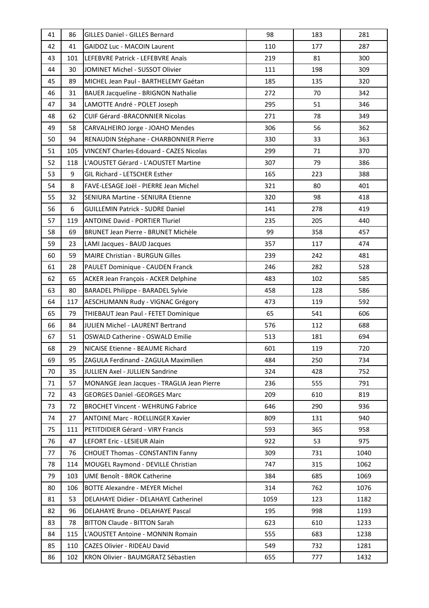| 41<br><b>GAIDOZ Luc - MACOIN Laurent</b><br>110<br>287<br>42<br>177<br>LEFEBVRE Patrick - LEFEBVRE Anaïs<br>219<br>81<br>300<br>43<br>101<br>30<br>111<br>198<br>309<br>44<br>JOMINET Michel - SUSSOT Olivier<br>89<br>MICHEL Jean Paul - BARTHELEMY Gaétan<br>185<br>135<br>320<br>45<br>70<br>46<br>31<br>BAUER Jacqueline - BRIGNON Nathalie<br>272<br>342<br>34<br>LAMOTTE André - POLET Joseph<br>295<br>51<br>346<br>47<br>62<br><b>CUIF Gérard -BRACONNIER Nicolas</b><br>271<br>78<br>349<br>48<br>58<br>306<br>56<br>362<br>49<br>CARVALHEIRO Jorge - JOAHO Mendes<br>94<br>RENAUDIN Stéphane - CHARBONNIER Pierre<br>330<br>33<br>363<br>50<br><b>VINCENT Charles-Edouard - CAZES Nicolas</b><br>51<br>105<br>299<br>71<br>370<br>79<br>52<br>118<br>L'AOUSTET Gérard - L'AOUSTET Martine<br>307<br>386<br>9<br>53<br>GIL Richard - LETSCHER Esther<br>165<br>223<br>388<br>321<br>54<br>8<br>FAVE-LESAGE Joël - PIERRE Jean Michel<br>80<br>401<br>320<br>98<br>55<br>32<br>SENIURA Martine - SENIURA Etienne<br>418<br>6<br><b>GUILLEMIN Patrick - SUDRE Daniel</b><br>141<br>278<br>419<br>56<br>57<br>119<br><b>ANTOINE David - PORTIER Tluriel</b><br>235<br>205<br>440<br>69<br>99<br>358<br>58<br>BRUNET Jean Pierre - BRUNET Michèle<br>457<br>59<br>23<br>LAMI Jacques - BAUD Jacques<br>357<br>117<br>474<br>59<br><b>MAIRE Christian - BURGUN Gilles</b><br>239<br>242<br>481<br>60<br>28<br>PAULET Dominique - CAUDEN Franck<br>246<br>282<br>528<br>61<br>483<br>62<br>65<br>ACKER Jean François - ACKER Delphine<br>102<br>585<br>80<br>BARADEL Philippe - BARADEL Sylvie<br>458<br>128<br>586<br>63<br>117<br>AESCHLIMANN Rudy - VIGNAC Grégory<br>473<br>119<br>592<br>64<br>65<br>541<br>606<br>65<br>79<br>THIEBAUT Jean Paul - FETET Dominique<br>576<br>JULIEN Michel - LAURENT Bertrand<br>112<br>688<br>66<br>84<br>51<br>OSWALD Catherine - OSWALD Emilie<br>513<br>181<br>694<br>67<br>601<br>68<br>29<br>119<br>720<br>NICAISE Etienne - BEAUME Richard<br>69<br>ZAGULA Ferdinand - ZAGULA Maximilien<br>484<br>250<br>95<br>734<br>35<br>JULLIEN Axel - JULLIEN Sandrine<br>324<br>428<br>70<br>752<br>57<br>MONANGE Jean Jacques - TRAGLIA Jean Pierre<br>236<br>555<br>791<br>71<br>72<br>43<br>209<br>610<br>819<br><b>GEORGES Daniel -GEORGES Marc</b><br><b>BROCHET Vincent - WEHRUNG Fabrice</b><br>646<br>290<br>936<br>73<br>72<br>27<br><b>ANTOINE Marc - ROELLINGER Xavier</b><br>809<br>131<br>940<br>74<br>593<br>365<br>958<br>75<br>111<br>PETITDIDIER Gérard - VIRY Francis<br>922<br>975<br>47<br>LEFORT Eric - LESIEUR Alain<br>53<br>76<br>309<br>77<br>76<br><b>CHOUET Thomas - CONSTANTIN Fanny</b><br>731<br>1040<br>MOUGEL Raymond - DEVILLE Christian<br>747<br>78<br>114<br>315<br>1062<br>103<br>UME Benoît - BROK Catherine<br>384<br>685<br>1069<br>79<br><b>BOTTE Alexandre - MEYER Michel</b><br>314<br>762<br>80<br>106<br>1076<br>53<br>1059<br>81<br>DELAHAYE Didier - DELAHAYE Catherinel<br>123<br>1182<br>96<br>DELAHAYE Bruno - DELAHAYE Pascal<br>195<br>998<br>1193<br>82<br>83<br>78<br><b>BITTON Claude - BITTON Sarah</b><br>623<br>610<br>1233<br>115<br>L'AOUSTET Antoine - MONNIN Romain<br>555<br>683<br>84<br>1238<br>85<br>CAZES Olivier - RIDEAU David<br>549<br>732<br>1281<br>110<br>86<br>KRON Olivier - BAUMGRATZ Sébastien<br>655<br>777<br>102<br>1432 | 41 | 86 | <b>GILLES Daniel - GILLES Bernard</b> | 98 | 183 | 281 |
|--------------------------------------------------------------------------------------------------------------------------------------------------------------------------------------------------------------------------------------------------------------------------------------------------------------------------------------------------------------------------------------------------------------------------------------------------------------------------------------------------------------------------------------------------------------------------------------------------------------------------------------------------------------------------------------------------------------------------------------------------------------------------------------------------------------------------------------------------------------------------------------------------------------------------------------------------------------------------------------------------------------------------------------------------------------------------------------------------------------------------------------------------------------------------------------------------------------------------------------------------------------------------------------------------------------------------------------------------------------------------------------------------------------------------------------------------------------------------------------------------------------------------------------------------------------------------------------------------------------------------------------------------------------------------------------------------------------------------------------------------------------------------------------------------------------------------------------------------------------------------------------------------------------------------------------------------------------------------------------------------------------------------------------------------------------------------------------------------------------------------------------------------------------------------------------------------------------------------------------------------------------------------------------------------------------------------------------------------------------------------------------------------------------------------------------------------------------------------------------------------------------------------------------------------------------------------------------------------------------------------------------------------------------------------------------------------------------------------------------------------------------------------------------------------------------------------------------------------------------------------------------------------------------------------------------------------------------------------------------------------------------------------------------------------------------------------------------------------------------------------------------------------------------------------------------------------------------------------------------------------------------------------------------------------------------------------------------------------|----|----|---------------------------------------|----|-----|-----|
|                                                                                                                                                                                                                                                                                                                                                                                                                                                                                                                                                                                                                                                                                                                                                                                                                                                                                                                                                                                                                                                                                                                                                                                                                                                                                                                                                                                                                                                                                                                                                                                                                                                                                                                                                                                                                                                                                                                                                                                                                                                                                                                                                                                                                                                                                                                                                                                                                                                                                                                                                                                                                                                                                                                                                                                                                                                                                                                                                                                                                                                                                                                                                                                                                                                                                                                                                  |    |    |                                       |    |     |     |
|                                                                                                                                                                                                                                                                                                                                                                                                                                                                                                                                                                                                                                                                                                                                                                                                                                                                                                                                                                                                                                                                                                                                                                                                                                                                                                                                                                                                                                                                                                                                                                                                                                                                                                                                                                                                                                                                                                                                                                                                                                                                                                                                                                                                                                                                                                                                                                                                                                                                                                                                                                                                                                                                                                                                                                                                                                                                                                                                                                                                                                                                                                                                                                                                                                                                                                                                                  |    |    |                                       |    |     |     |
|                                                                                                                                                                                                                                                                                                                                                                                                                                                                                                                                                                                                                                                                                                                                                                                                                                                                                                                                                                                                                                                                                                                                                                                                                                                                                                                                                                                                                                                                                                                                                                                                                                                                                                                                                                                                                                                                                                                                                                                                                                                                                                                                                                                                                                                                                                                                                                                                                                                                                                                                                                                                                                                                                                                                                                                                                                                                                                                                                                                                                                                                                                                                                                                                                                                                                                                                                  |    |    |                                       |    |     |     |
|                                                                                                                                                                                                                                                                                                                                                                                                                                                                                                                                                                                                                                                                                                                                                                                                                                                                                                                                                                                                                                                                                                                                                                                                                                                                                                                                                                                                                                                                                                                                                                                                                                                                                                                                                                                                                                                                                                                                                                                                                                                                                                                                                                                                                                                                                                                                                                                                                                                                                                                                                                                                                                                                                                                                                                                                                                                                                                                                                                                                                                                                                                                                                                                                                                                                                                                                                  |    |    |                                       |    |     |     |
|                                                                                                                                                                                                                                                                                                                                                                                                                                                                                                                                                                                                                                                                                                                                                                                                                                                                                                                                                                                                                                                                                                                                                                                                                                                                                                                                                                                                                                                                                                                                                                                                                                                                                                                                                                                                                                                                                                                                                                                                                                                                                                                                                                                                                                                                                                                                                                                                                                                                                                                                                                                                                                                                                                                                                                                                                                                                                                                                                                                                                                                                                                                                                                                                                                                                                                                                                  |    |    |                                       |    |     |     |
|                                                                                                                                                                                                                                                                                                                                                                                                                                                                                                                                                                                                                                                                                                                                                                                                                                                                                                                                                                                                                                                                                                                                                                                                                                                                                                                                                                                                                                                                                                                                                                                                                                                                                                                                                                                                                                                                                                                                                                                                                                                                                                                                                                                                                                                                                                                                                                                                                                                                                                                                                                                                                                                                                                                                                                                                                                                                                                                                                                                                                                                                                                                                                                                                                                                                                                                                                  |    |    |                                       |    |     |     |
|                                                                                                                                                                                                                                                                                                                                                                                                                                                                                                                                                                                                                                                                                                                                                                                                                                                                                                                                                                                                                                                                                                                                                                                                                                                                                                                                                                                                                                                                                                                                                                                                                                                                                                                                                                                                                                                                                                                                                                                                                                                                                                                                                                                                                                                                                                                                                                                                                                                                                                                                                                                                                                                                                                                                                                                                                                                                                                                                                                                                                                                                                                                                                                                                                                                                                                                                                  |    |    |                                       |    |     |     |
|                                                                                                                                                                                                                                                                                                                                                                                                                                                                                                                                                                                                                                                                                                                                                                                                                                                                                                                                                                                                                                                                                                                                                                                                                                                                                                                                                                                                                                                                                                                                                                                                                                                                                                                                                                                                                                                                                                                                                                                                                                                                                                                                                                                                                                                                                                                                                                                                                                                                                                                                                                                                                                                                                                                                                                                                                                                                                                                                                                                                                                                                                                                                                                                                                                                                                                                                                  |    |    |                                       |    |     |     |
|                                                                                                                                                                                                                                                                                                                                                                                                                                                                                                                                                                                                                                                                                                                                                                                                                                                                                                                                                                                                                                                                                                                                                                                                                                                                                                                                                                                                                                                                                                                                                                                                                                                                                                                                                                                                                                                                                                                                                                                                                                                                                                                                                                                                                                                                                                                                                                                                                                                                                                                                                                                                                                                                                                                                                                                                                                                                                                                                                                                                                                                                                                                                                                                                                                                                                                                                                  |    |    |                                       |    |     |     |
|                                                                                                                                                                                                                                                                                                                                                                                                                                                                                                                                                                                                                                                                                                                                                                                                                                                                                                                                                                                                                                                                                                                                                                                                                                                                                                                                                                                                                                                                                                                                                                                                                                                                                                                                                                                                                                                                                                                                                                                                                                                                                                                                                                                                                                                                                                                                                                                                                                                                                                                                                                                                                                                                                                                                                                                                                                                                                                                                                                                                                                                                                                                                                                                                                                                                                                                                                  |    |    |                                       |    |     |     |
|                                                                                                                                                                                                                                                                                                                                                                                                                                                                                                                                                                                                                                                                                                                                                                                                                                                                                                                                                                                                                                                                                                                                                                                                                                                                                                                                                                                                                                                                                                                                                                                                                                                                                                                                                                                                                                                                                                                                                                                                                                                                                                                                                                                                                                                                                                                                                                                                                                                                                                                                                                                                                                                                                                                                                                                                                                                                                                                                                                                                                                                                                                                                                                                                                                                                                                                                                  |    |    |                                       |    |     |     |
|                                                                                                                                                                                                                                                                                                                                                                                                                                                                                                                                                                                                                                                                                                                                                                                                                                                                                                                                                                                                                                                                                                                                                                                                                                                                                                                                                                                                                                                                                                                                                                                                                                                                                                                                                                                                                                                                                                                                                                                                                                                                                                                                                                                                                                                                                                                                                                                                                                                                                                                                                                                                                                                                                                                                                                                                                                                                                                                                                                                                                                                                                                                                                                                                                                                                                                                                                  |    |    |                                       |    |     |     |
|                                                                                                                                                                                                                                                                                                                                                                                                                                                                                                                                                                                                                                                                                                                                                                                                                                                                                                                                                                                                                                                                                                                                                                                                                                                                                                                                                                                                                                                                                                                                                                                                                                                                                                                                                                                                                                                                                                                                                                                                                                                                                                                                                                                                                                                                                                                                                                                                                                                                                                                                                                                                                                                                                                                                                                                                                                                                                                                                                                                                                                                                                                                                                                                                                                                                                                                                                  |    |    |                                       |    |     |     |
|                                                                                                                                                                                                                                                                                                                                                                                                                                                                                                                                                                                                                                                                                                                                                                                                                                                                                                                                                                                                                                                                                                                                                                                                                                                                                                                                                                                                                                                                                                                                                                                                                                                                                                                                                                                                                                                                                                                                                                                                                                                                                                                                                                                                                                                                                                                                                                                                                                                                                                                                                                                                                                                                                                                                                                                                                                                                                                                                                                                                                                                                                                                                                                                                                                                                                                                                                  |    |    |                                       |    |     |     |
|                                                                                                                                                                                                                                                                                                                                                                                                                                                                                                                                                                                                                                                                                                                                                                                                                                                                                                                                                                                                                                                                                                                                                                                                                                                                                                                                                                                                                                                                                                                                                                                                                                                                                                                                                                                                                                                                                                                                                                                                                                                                                                                                                                                                                                                                                                                                                                                                                                                                                                                                                                                                                                                                                                                                                                                                                                                                                                                                                                                                                                                                                                                                                                                                                                                                                                                                                  |    |    |                                       |    |     |     |
|                                                                                                                                                                                                                                                                                                                                                                                                                                                                                                                                                                                                                                                                                                                                                                                                                                                                                                                                                                                                                                                                                                                                                                                                                                                                                                                                                                                                                                                                                                                                                                                                                                                                                                                                                                                                                                                                                                                                                                                                                                                                                                                                                                                                                                                                                                                                                                                                                                                                                                                                                                                                                                                                                                                                                                                                                                                                                                                                                                                                                                                                                                                                                                                                                                                                                                                                                  |    |    |                                       |    |     |     |
|                                                                                                                                                                                                                                                                                                                                                                                                                                                                                                                                                                                                                                                                                                                                                                                                                                                                                                                                                                                                                                                                                                                                                                                                                                                                                                                                                                                                                                                                                                                                                                                                                                                                                                                                                                                                                                                                                                                                                                                                                                                                                                                                                                                                                                                                                                                                                                                                                                                                                                                                                                                                                                                                                                                                                                                                                                                                                                                                                                                                                                                                                                                                                                                                                                                                                                                                                  |    |    |                                       |    |     |     |
|                                                                                                                                                                                                                                                                                                                                                                                                                                                                                                                                                                                                                                                                                                                                                                                                                                                                                                                                                                                                                                                                                                                                                                                                                                                                                                                                                                                                                                                                                                                                                                                                                                                                                                                                                                                                                                                                                                                                                                                                                                                                                                                                                                                                                                                                                                                                                                                                                                                                                                                                                                                                                                                                                                                                                                                                                                                                                                                                                                                                                                                                                                                                                                                                                                                                                                                                                  |    |    |                                       |    |     |     |
|                                                                                                                                                                                                                                                                                                                                                                                                                                                                                                                                                                                                                                                                                                                                                                                                                                                                                                                                                                                                                                                                                                                                                                                                                                                                                                                                                                                                                                                                                                                                                                                                                                                                                                                                                                                                                                                                                                                                                                                                                                                                                                                                                                                                                                                                                                                                                                                                                                                                                                                                                                                                                                                                                                                                                                                                                                                                                                                                                                                                                                                                                                                                                                                                                                                                                                                                                  |    |    |                                       |    |     |     |
|                                                                                                                                                                                                                                                                                                                                                                                                                                                                                                                                                                                                                                                                                                                                                                                                                                                                                                                                                                                                                                                                                                                                                                                                                                                                                                                                                                                                                                                                                                                                                                                                                                                                                                                                                                                                                                                                                                                                                                                                                                                                                                                                                                                                                                                                                                                                                                                                                                                                                                                                                                                                                                                                                                                                                                                                                                                                                                                                                                                                                                                                                                                                                                                                                                                                                                                                                  |    |    |                                       |    |     |     |
|                                                                                                                                                                                                                                                                                                                                                                                                                                                                                                                                                                                                                                                                                                                                                                                                                                                                                                                                                                                                                                                                                                                                                                                                                                                                                                                                                                                                                                                                                                                                                                                                                                                                                                                                                                                                                                                                                                                                                                                                                                                                                                                                                                                                                                                                                                                                                                                                                                                                                                                                                                                                                                                                                                                                                                                                                                                                                                                                                                                                                                                                                                                                                                                                                                                                                                                                                  |    |    |                                       |    |     |     |
|                                                                                                                                                                                                                                                                                                                                                                                                                                                                                                                                                                                                                                                                                                                                                                                                                                                                                                                                                                                                                                                                                                                                                                                                                                                                                                                                                                                                                                                                                                                                                                                                                                                                                                                                                                                                                                                                                                                                                                                                                                                                                                                                                                                                                                                                                                                                                                                                                                                                                                                                                                                                                                                                                                                                                                                                                                                                                                                                                                                                                                                                                                                                                                                                                                                                                                                                                  |    |    |                                       |    |     |     |
|                                                                                                                                                                                                                                                                                                                                                                                                                                                                                                                                                                                                                                                                                                                                                                                                                                                                                                                                                                                                                                                                                                                                                                                                                                                                                                                                                                                                                                                                                                                                                                                                                                                                                                                                                                                                                                                                                                                                                                                                                                                                                                                                                                                                                                                                                                                                                                                                                                                                                                                                                                                                                                                                                                                                                                                                                                                                                                                                                                                                                                                                                                                                                                                                                                                                                                                                                  |    |    |                                       |    |     |     |
|                                                                                                                                                                                                                                                                                                                                                                                                                                                                                                                                                                                                                                                                                                                                                                                                                                                                                                                                                                                                                                                                                                                                                                                                                                                                                                                                                                                                                                                                                                                                                                                                                                                                                                                                                                                                                                                                                                                                                                                                                                                                                                                                                                                                                                                                                                                                                                                                                                                                                                                                                                                                                                                                                                                                                                                                                                                                                                                                                                                                                                                                                                                                                                                                                                                                                                                                                  |    |    |                                       |    |     |     |
|                                                                                                                                                                                                                                                                                                                                                                                                                                                                                                                                                                                                                                                                                                                                                                                                                                                                                                                                                                                                                                                                                                                                                                                                                                                                                                                                                                                                                                                                                                                                                                                                                                                                                                                                                                                                                                                                                                                                                                                                                                                                                                                                                                                                                                                                                                                                                                                                                                                                                                                                                                                                                                                                                                                                                                                                                                                                                                                                                                                                                                                                                                                                                                                                                                                                                                                                                  |    |    |                                       |    |     |     |
|                                                                                                                                                                                                                                                                                                                                                                                                                                                                                                                                                                                                                                                                                                                                                                                                                                                                                                                                                                                                                                                                                                                                                                                                                                                                                                                                                                                                                                                                                                                                                                                                                                                                                                                                                                                                                                                                                                                                                                                                                                                                                                                                                                                                                                                                                                                                                                                                                                                                                                                                                                                                                                                                                                                                                                                                                                                                                                                                                                                                                                                                                                                                                                                                                                                                                                                                                  |    |    |                                       |    |     |     |
|                                                                                                                                                                                                                                                                                                                                                                                                                                                                                                                                                                                                                                                                                                                                                                                                                                                                                                                                                                                                                                                                                                                                                                                                                                                                                                                                                                                                                                                                                                                                                                                                                                                                                                                                                                                                                                                                                                                                                                                                                                                                                                                                                                                                                                                                                                                                                                                                                                                                                                                                                                                                                                                                                                                                                                                                                                                                                                                                                                                                                                                                                                                                                                                                                                                                                                                                                  |    |    |                                       |    |     |     |
|                                                                                                                                                                                                                                                                                                                                                                                                                                                                                                                                                                                                                                                                                                                                                                                                                                                                                                                                                                                                                                                                                                                                                                                                                                                                                                                                                                                                                                                                                                                                                                                                                                                                                                                                                                                                                                                                                                                                                                                                                                                                                                                                                                                                                                                                                                                                                                                                                                                                                                                                                                                                                                                                                                                                                                                                                                                                                                                                                                                                                                                                                                                                                                                                                                                                                                                                                  |    |    |                                       |    |     |     |
|                                                                                                                                                                                                                                                                                                                                                                                                                                                                                                                                                                                                                                                                                                                                                                                                                                                                                                                                                                                                                                                                                                                                                                                                                                                                                                                                                                                                                                                                                                                                                                                                                                                                                                                                                                                                                                                                                                                                                                                                                                                                                                                                                                                                                                                                                                                                                                                                                                                                                                                                                                                                                                                                                                                                                                                                                                                                                                                                                                                                                                                                                                                                                                                                                                                                                                                                                  |    |    |                                       |    |     |     |
|                                                                                                                                                                                                                                                                                                                                                                                                                                                                                                                                                                                                                                                                                                                                                                                                                                                                                                                                                                                                                                                                                                                                                                                                                                                                                                                                                                                                                                                                                                                                                                                                                                                                                                                                                                                                                                                                                                                                                                                                                                                                                                                                                                                                                                                                                                                                                                                                                                                                                                                                                                                                                                                                                                                                                                                                                                                                                                                                                                                                                                                                                                                                                                                                                                                                                                                                                  |    |    |                                       |    |     |     |
|                                                                                                                                                                                                                                                                                                                                                                                                                                                                                                                                                                                                                                                                                                                                                                                                                                                                                                                                                                                                                                                                                                                                                                                                                                                                                                                                                                                                                                                                                                                                                                                                                                                                                                                                                                                                                                                                                                                                                                                                                                                                                                                                                                                                                                                                                                                                                                                                                                                                                                                                                                                                                                                                                                                                                                                                                                                                                                                                                                                                                                                                                                                                                                                                                                                                                                                                                  |    |    |                                       |    |     |     |
|                                                                                                                                                                                                                                                                                                                                                                                                                                                                                                                                                                                                                                                                                                                                                                                                                                                                                                                                                                                                                                                                                                                                                                                                                                                                                                                                                                                                                                                                                                                                                                                                                                                                                                                                                                                                                                                                                                                                                                                                                                                                                                                                                                                                                                                                                                                                                                                                                                                                                                                                                                                                                                                                                                                                                                                                                                                                                                                                                                                                                                                                                                                                                                                                                                                                                                                                                  |    |    |                                       |    |     |     |
|                                                                                                                                                                                                                                                                                                                                                                                                                                                                                                                                                                                                                                                                                                                                                                                                                                                                                                                                                                                                                                                                                                                                                                                                                                                                                                                                                                                                                                                                                                                                                                                                                                                                                                                                                                                                                                                                                                                                                                                                                                                                                                                                                                                                                                                                                                                                                                                                                                                                                                                                                                                                                                                                                                                                                                                                                                                                                                                                                                                                                                                                                                                                                                                                                                                                                                                                                  |    |    |                                       |    |     |     |
|                                                                                                                                                                                                                                                                                                                                                                                                                                                                                                                                                                                                                                                                                                                                                                                                                                                                                                                                                                                                                                                                                                                                                                                                                                                                                                                                                                                                                                                                                                                                                                                                                                                                                                                                                                                                                                                                                                                                                                                                                                                                                                                                                                                                                                                                                                                                                                                                                                                                                                                                                                                                                                                                                                                                                                                                                                                                                                                                                                                                                                                                                                                                                                                                                                                                                                                                                  |    |    |                                       |    |     |     |
|                                                                                                                                                                                                                                                                                                                                                                                                                                                                                                                                                                                                                                                                                                                                                                                                                                                                                                                                                                                                                                                                                                                                                                                                                                                                                                                                                                                                                                                                                                                                                                                                                                                                                                                                                                                                                                                                                                                                                                                                                                                                                                                                                                                                                                                                                                                                                                                                                                                                                                                                                                                                                                                                                                                                                                                                                                                                                                                                                                                                                                                                                                                                                                                                                                                                                                                                                  |    |    |                                       |    |     |     |
|                                                                                                                                                                                                                                                                                                                                                                                                                                                                                                                                                                                                                                                                                                                                                                                                                                                                                                                                                                                                                                                                                                                                                                                                                                                                                                                                                                                                                                                                                                                                                                                                                                                                                                                                                                                                                                                                                                                                                                                                                                                                                                                                                                                                                                                                                                                                                                                                                                                                                                                                                                                                                                                                                                                                                                                                                                                                                                                                                                                                                                                                                                                                                                                                                                                                                                                                                  |    |    |                                       |    |     |     |
|                                                                                                                                                                                                                                                                                                                                                                                                                                                                                                                                                                                                                                                                                                                                                                                                                                                                                                                                                                                                                                                                                                                                                                                                                                                                                                                                                                                                                                                                                                                                                                                                                                                                                                                                                                                                                                                                                                                                                                                                                                                                                                                                                                                                                                                                                                                                                                                                                                                                                                                                                                                                                                                                                                                                                                                                                                                                                                                                                                                                                                                                                                                                                                                                                                                                                                                                                  |    |    |                                       |    |     |     |
|                                                                                                                                                                                                                                                                                                                                                                                                                                                                                                                                                                                                                                                                                                                                                                                                                                                                                                                                                                                                                                                                                                                                                                                                                                                                                                                                                                                                                                                                                                                                                                                                                                                                                                                                                                                                                                                                                                                                                                                                                                                                                                                                                                                                                                                                                                                                                                                                                                                                                                                                                                                                                                                                                                                                                                                                                                                                                                                                                                                                                                                                                                                                                                                                                                                                                                                                                  |    |    |                                       |    |     |     |
|                                                                                                                                                                                                                                                                                                                                                                                                                                                                                                                                                                                                                                                                                                                                                                                                                                                                                                                                                                                                                                                                                                                                                                                                                                                                                                                                                                                                                                                                                                                                                                                                                                                                                                                                                                                                                                                                                                                                                                                                                                                                                                                                                                                                                                                                                                                                                                                                                                                                                                                                                                                                                                                                                                                                                                                                                                                                                                                                                                                                                                                                                                                                                                                                                                                                                                                                                  |    |    |                                       |    |     |     |
|                                                                                                                                                                                                                                                                                                                                                                                                                                                                                                                                                                                                                                                                                                                                                                                                                                                                                                                                                                                                                                                                                                                                                                                                                                                                                                                                                                                                                                                                                                                                                                                                                                                                                                                                                                                                                                                                                                                                                                                                                                                                                                                                                                                                                                                                                                                                                                                                                                                                                                                                                                                                                                                                                                                                                                                                                                                                                                                                                                                                                                                                                                                                                                                                                                                                                                                                                  |    |    |                                       |    |     |     |
|                                                                                                                                                                                                                                                                                                                                                                                                                                                                                                                                                                                                                                                                                                                                                                                                                                                                                                                                                                                                                                                                                                                                                                                                                                                                                                                                                                                                                                                                                                                                                                                                                                                                                                                                                                                                                                                                                                                                                                                                                                                                                                                                                                                                                                                                                                                                                                                                                                                                                                                                                                                                                                                                                                                                                                                                                                                                                                                                                                                                                                                                                                                                                                                                                                                                                                                                                  |    |    |                                       |    |     |     |
|                                                                                                                                                                                                                                                                                                                                                                                                                                                                                                                                                                                                                                                                                                                                                                                                                                                                                                                                                                                                                                                                                                                                                                                                                                                                                                                                                                                                                                                                                                                                                                                                                                                                                                                                                                                                                                                                                                                                                                                                                                                                                                                                                                                                                                                                                                                                                                                                                                                                                                                                                                                                                                                                                                                                                                                                                                                                                                                                                                                                                                                                                                                                                                                                                                                                                                                                                  |    |    |                                       |    |     |     |
|                                                                                                                                                                                                                                                                                                                                                                                                                                                                                                                                                                                                                                                                                                                                                                                                                                                                                                                                                                                                                                                                                                                                                                                                                                                                                                                                                                                                                                                                                                                                                                                                                                                                                                                                                                                                                                                                                                                                                                                                                                                                                                                                                                                                                                                                                                                                                                                                                                                                                                                                                                                                                                                                                                                                                                                                                                                                                                                                                                                                                                                                                                                                                                                                                                                                                                                                                  |    |    |                                       |    |     |     |
|                                                                                                                                                                                                                                                                                                                                                                                                                                                                                                                                                                                                                                                                                                                                                                                                                                                                                                                                                                                                                                                                                                                                                                                                                                                                                                                                                                                                                                                                                                                                                                                                                                                                                                                                                                                                                                                                                                                                                                                                                                                                                                                                                                                                                                                                                                                                                                                                                                                                                                                                                                                                                                                                                                                                                                                                                                                                                                                                                                                                                                                                                                                                                                                                                                                                                                                                                  |    |    |                                       |    |     |     |
|                                                                                                                                                                                                                                                                                                                                                                                                                                                                                                                                                                                                                                                                                                                                                                                                                                                                                                                                                                                                                                                                                                                                                                                                                                                                                                                                                                                                                                                                                                                                                                                                                                                                                                                                                                                                                                                                                                                                                                                                                                                                                                                                                                                                                                                                                                                                                                                                                                                                                                                                                                                                                                                                                                                                                                                                                                                                                                                                                                                                                                                                                                                                                                                                                                                                                                                                                  |    |    |                                       |    |     |     |